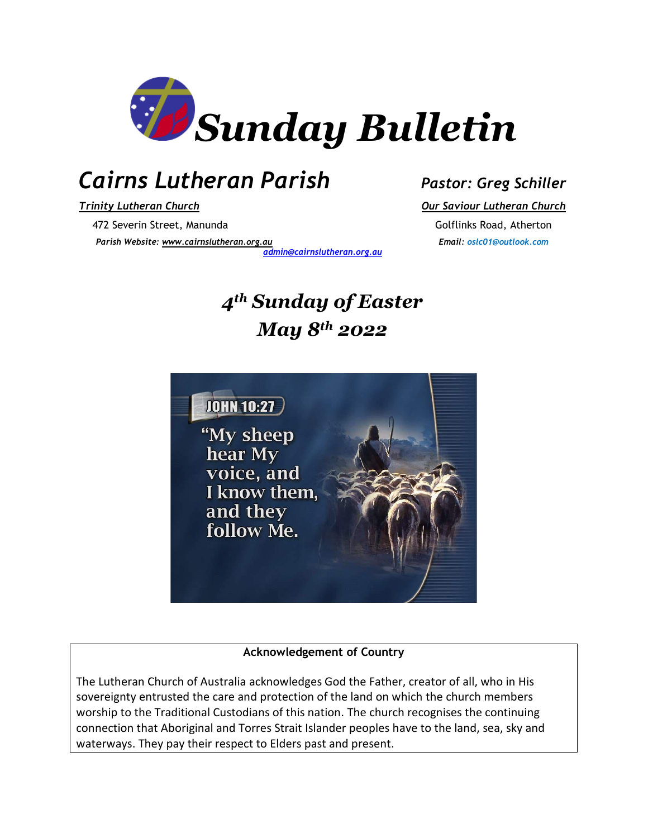

## *Cairns Lutheran Parish Pastor: Greg Schiller*

*Trinity Lutheran Church Our Saviour Lutheran Church* 472 Severin Street, Manunda Golflinks Road, Atherton

*Parish Website: [www.cairnslutheran.org.au](about:blank) Email: oslc01@outlook.com*

*[admin@cairnslutheran.org.au](mailto:admin@cairnslutheran.org.au)*

## *4th Sunday of Easter May 8th 2022*



#### **Acknowledgement of Country**

The Lutheran Church of Australia acknowledges God the Father, creator of all, who in His sovereignty entrusted the care and protection of the land on which the church members worship to the Traditional Custodians of this nation. The church recognises the continuing connection that Aboriginal and Torres Strait Islander peoples have to the land, sea, sky and waterways. They pay their respect to Elders past and present.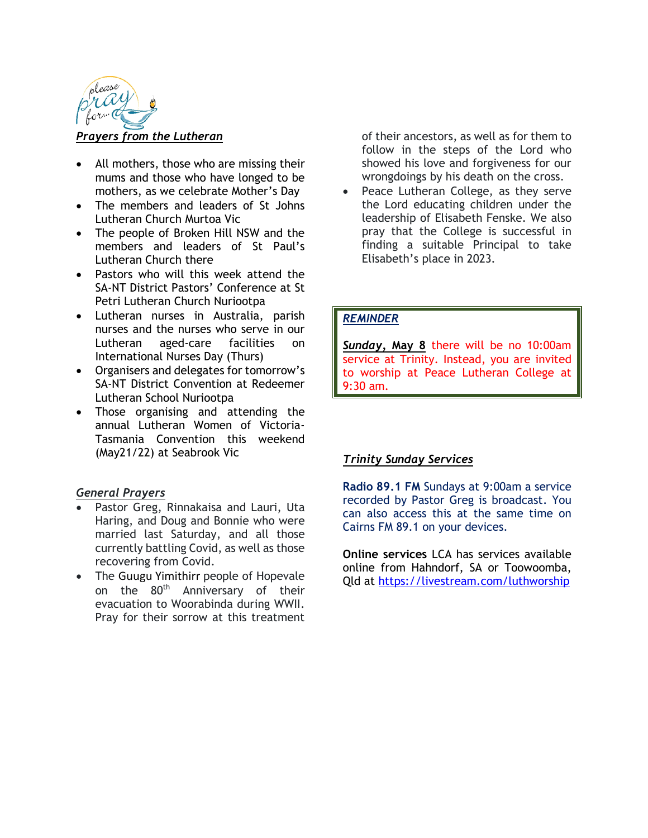

#### *Prayers from the Lutheran*

- All mothers, those who are missing their mums and those who have longed to be mothers, as we celebrate Mother's Day
- The members and leaders of St Johns Lutheran Church Murtoa Vic
- The people of Broken Hill NSW and the members and leaders of St Paul's Lutheran Church there
- Pastors who will this week attend the SA-NT District Pastors' Conference at St Petri Lutheran Church Nuriootpa
- Lutheran nurses in Australia, parish nurses and the nurses who serve in our Lutheran aged-care facilities on International Nurses Day (Thurs)
- Organisers and delegates for tomorrow's SA-NT District Convention at Redeemer Lutheran School Nuriootpa
- Those organising and attending the annual Lutheran Women of Victoria-Tasmania Convention this weekend (May21/22) at Seabrook Vic

#### *General Prayers*

- Pastor Greg, Rinnakaisa and Lauri, Uta Haring, and Doug and Bonnie who were married last Saturday, and all those currently battling Covid, as well as those recovering from Covid.
- The Guugu Yimithirr people of Hopevale on the 80<sup>th</sup> Anniversary of their evacuation to Woorabinda during WWII. Pray for their sorrow at this treatment

of their ancestors, as well as for them to follow in the steps of the Lord who showed his love and forgiveness for our wrongdoings by his death on the cross.

Peace Lutheran College, as they serve the Lord educating children under the leadership of Elisabeth Fenske. We also pray that the College is successful in finding a suitable Principal to take Elisabeth's place in 2023.

#### *REMINDER*

*Sunday,* **May 8** there will be no 10:00am service at Trinity. Instead, you are invited to worship at Peace Lutheran College at 9:30 am.

#### *Trinity Sunday Services*

**Radio 89.1 FM** Sundays at 9:00am a service recorded by Pastor Greg is broadcast. You can also access this at the same time on Cairns FM 89.1 on your devices.

**Online services** LCA has services available online from Hahndorf, SA or Toowoomba, Qld at<https://livestream.com/luthworship>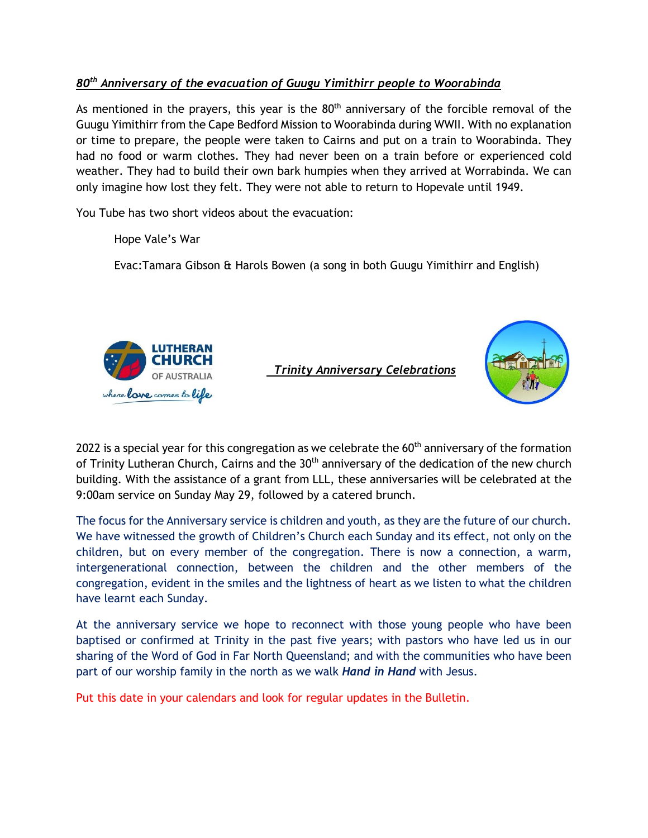#### *80th Anniversary of the evacuation of Guugu Yimithirr people to Woorabinda*

As mentioned in the prayers, this year is the  $80<sup>th</sup>$  anniversary of the forcible removal of the Guugu Yimithirr from the Cape Bedford Mission to Woorabinda during WWII. With no explanation or time to prepare, the people were taken to Cairns and put on a train to Woorabinda. They had no food or warm clothes. They had never been on a train before or experienced cold weather. They had to build their own bark humpies when they arrived at Worrabinda. We can only imagine how lost they felt. They were not able to return to Hopevale until 1949.

You Tube has two short videos about the evacuation:

Hope Vale's War

Evac:Tamara Gibson & Harols Bowen (a song in both Guugu Yimithirr and English)



 *Trinity Anniversary Celebrations*



2022 is a special year for this congregation as we celebrate the  $60<sup>th</sup>$  anniversary of the formation of Trinity Lutheran Church, Cairns and the 30<sup>th</sup> anniversary of the dedication of the new church building. With the assistance of a grant from LLL, these anniversaries will be celebrated at the 9:00am service on Sunday May 29, followed by a catered brunch.

The focus for the Anniversary service is children and youth, as they are the future of our church. We have witnessed the growth of Children's Church each Sunday and its effect, not only on the children, but on every member of the congregation. There is now a connection, a warm, intergenerational connection, between the children and the other members of the congregation, evident in the smiles and the lightness of heart as we listen to what the children have learnt each Sunday.

At the anniversary service we hope to reconnect with those young people who have been baptised or confirmed at Trinity in the past five years; with pastors who have led us in our sharing of the Word of God in Far North Queensland; and with the communities who have been part of our worship family in the north as we walk *Hand in Hand* with Jesus.

Put this date in your calendars and look for regular updates in the Bulletin.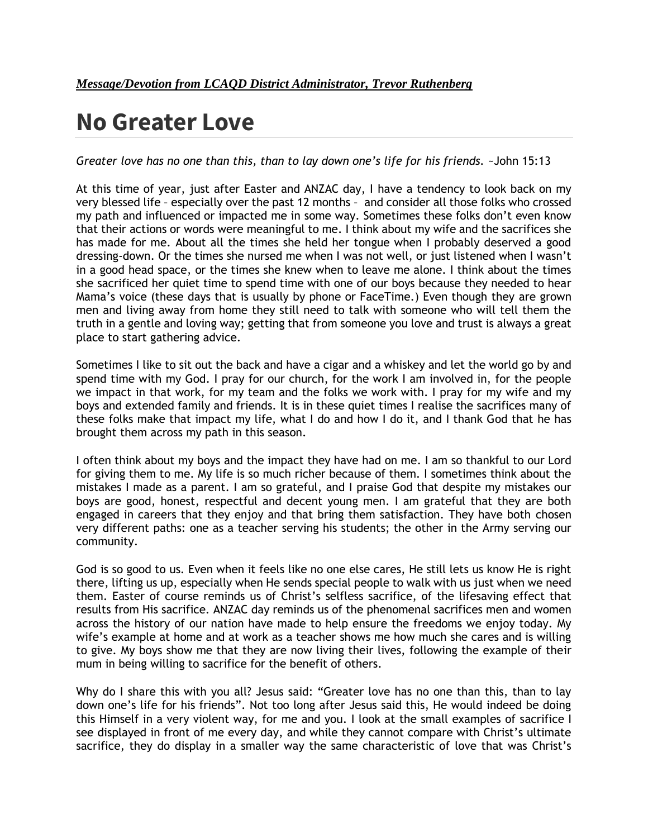# **No Greater Love**

*Greater love has no one than this, than to lay down one's life for his friends.* ~John 15:13

At this time of year, just after Easter and ANZAC day, I have a tendency to look back on my very blessed life – especially over the past 12 months – and consider all those folks who crossed my path and influenced or impacted me in some way. Sometimes these folks don't even know that their actions or words were meaningful to me. I think about my wife and the sacrifices she has made for me. About all the times she held her tongue when I probably deserved a good dressing-down. Or the times she nursed me when I was not well, or just listened when I wasn't in a good head space, or the times she knew when to leave me alone. I think about the times she sacrificed her quiet time to spend time with one of our boys because they needed to hear Mama's voice (these days that is usually by phone or FaceTime.) Even though they are grown men and living away from home they still need to talk with someone who will tell them the truth in a gentle and loving way; getting that from someone you love and trust is always a great place to start gathering advice.

Sometimes I like to sit out the back and have a cigar and a whiskey and let the world go by and spend time with my God. I pray for our church, for the work I am involved in, for the people we impact in that work, for my team and the folks we work with. I pray for my wife and my boys and extended family and friends. It is in these quiet times I realise the sacrifices many of these folks make that impact my life, what I do and how I do it, and I thank God that he has brought them across my path in this season.

I often think about my boys and the impact they have had on me. I am so thankful to our Lord for giving them to me. My life is so much richer because of them. I sometimes think about the mistakes I made as a parent. I am so grateful, and I praise God that despite my mistakes our boys are good, honest, respectful and decent young men. I am grateful that they are both engaged in careers that they enjoy and that bring them satisfaction. They have both chosen very different paths: one as a teacher serving his students; the other in the Army serving our community.

God is so good to us. Even when it feels like no one else cares, He still lets us know He is right there, lifting us up, especially when He sends special people to walk with us just when we need them. Easter of course reminds us of Christ's selfless sacrifice, of the lifesaving effect that results from His sacrifice. ANZAC day reminds us of the phenomenal sacrifices men and women across the history of our nation have made to help ensure the freedoms we enjoy today. My wife's example at home and at work as a teacher shows me how much she cares and is willing to give. My boys show me that they are now living their lives, following the example of their mum in being willing to sacrifice for the benefit of others.

Why do I share this with you all? Jesus said: "Greater love has no one than this, than to lay down one's life for his friends". Not too long after Jesus said this, He would indeed be doing this Himself in a very violent way, for me and you. I look at the small examples of sacrifice I see displayed in front of me every day, and while they cannot compare with Christ's ultimate sacrifice, they do display in a smaller way the same characteristic of love that was Christ's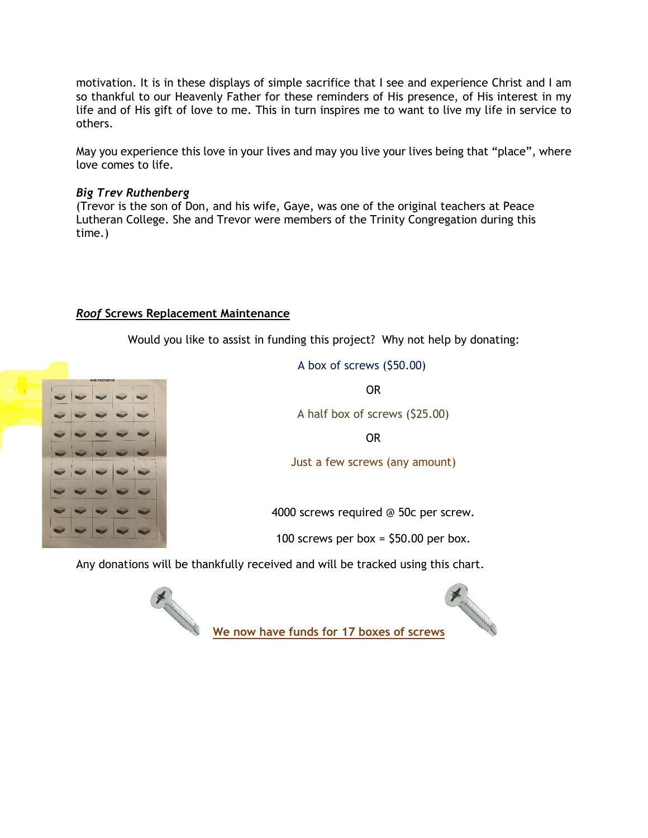motivation. It is in these displays of simple sacrifice that I see and experience Christ and I am so thankful to our Heavenly Father for these reminders of His presence, of His interest in my life and of His gift of love to me. This in turn inspires me to want to live my life in service to others.

May you experience this love in your lives and may you live your lives being that "place", where love comes to life.

#### *Big Trev Ruthenberg*

(Trevor is the son of Don, and his wife, Gaye, was one of the original teachers at Peace Lutheran College. She and Trevor were members of the Trinity Congregation during this time.)

#### *Roof* **Screws Replacement Maintenance**

Would you like to assist in funding this project? Why not help by donating:



A box of screws (\$50.00)

OR

A half box of screws (\$25.00)

OR

Just a few screws (any amount)

4000 screws required @ 50c per screw.

100 screws per box =  $$50.00$  per box.

Any donations will be thankfully received and will be tracked using this chart.





**We now have funds for 17 boxes of screws**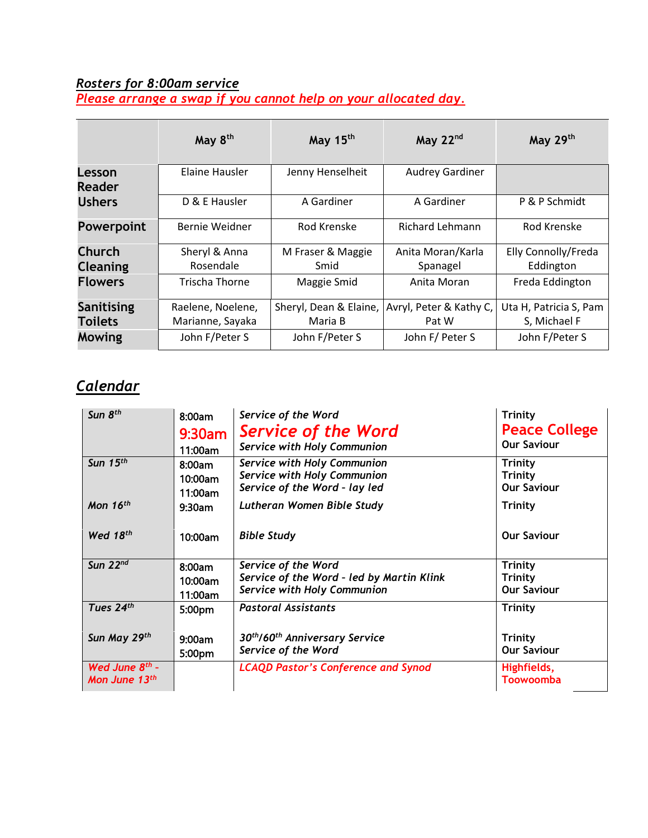#### *Rosters for 8:00am service*

*Please arrange a swap if you cannot help on your allocated day.* 

|                         | May 8 <sup>th</sup> | May 15 <sup>th</sup>   | May 22nd                | May 29th               |
|-------------------------|---------------------|------------------------|-------------------------|------------------------|
| Lesson<br><b>Reader</b> | Elaine Hausler      | Jenny Henselheit       | <b>Audrey Gardiner</b>  |                        |
| <b>Ushers</b>           | D & E Hausler       | A Gardiner             | A Gardiner              | P & P Schmidt          |
| <b>Powerpoint</b>       | Bernie Weidner      | Rod Krenske            | <b>Richard Lehmann</b>  | Rod Krenske            |
| <b>Church</b>           | Sheryl & Anna       | M Fraser & Maggie      | Anita Moran/Karla       | Elly Connolly/Freda    |
| <b>Cleaning</b>         | Rosendale           | Smid                   | Spanagel                | Eddington              |
| <b>Flowers</b>          | Trischa Thorne      | Maggie Smid            | Anita Moran             | Freda Eddington        |
| <b>Sanitising</b>       | Raelene, Noelene,   | Sheryl, Dean & Elaine, | Avryl, Peter & Kathy C, | Uta H, Patricia S, Pam |
| <b>Toilets</b>          | Marianne, Sayaka    | Maria B                | Pat W                   | S, Michael F           |
| Mowing                  | John F/Peter S      | John F/Peter S         | John F/ Peter S         | John F/Peter S         |

### *Calendar*

| Sun 8 <sup>th</sup>        | 8:00am    | Service of the Word                                    | <b>Trinity</b>       |
|----------------------------|-----------|--------------------------------------------------------|----------------------|
|                            | $9:30$ am | <b>Service of the Word</b>                             | <b>Peace College</b> |
|                            | 11:00am   | Service with Holy Communion                            | <b>Our Saviour</b>   |
| Sun $15th$                 | 8:00am    | <b>Service with Holy Communion</b>                     | <b>Trinity</b>       |
|                            | 10:00am   | <b>Service with Holy Communion</b>                     | <b>Trinity</b>       |
|                            | 11:00am   | Service of the Word - lay led                          | <b>Our Saviour</b>   |
| Mon $16th$                 | $9:30$ am | Lutheran Women Bible Study                             | Trinity              |
|                            |           |                                                        |                      |
| Wed 18th                   | 10:00am   | <b>Bible Study</b>                                     | <b>Our Saviour</b>   |
| Sun $22^{nd}$              | 8:00am    | Service of the Word                                    | Trinity              |
|                            | 10:00am   | Service of the Word - led by Martin Klink              | <b>Trinity</b>       |
|                            | 11:00am   | <b>Service with Holy Communion</b>                     | <b>Our Saviour</b>   |
| Tues $24th$                | 5:00pm    | <b>Pastoral Assistants</b>                             | Trinity              |
|                            |           |                                                        |                      |
| Sun May 29th               | 9:00am    | 30 <sup>th</sup> /60 <sup>th</sup> Anniversary Service | <b>Trinity</b>       |
|                            | 5:00pm    | Service of the Word                                    | <b>Our Saviour</b>   |
| Wed June 8 <sup>th</sup> - |           | <b>LCAQD Pastor's Conference and Synod</b>             | Highfields,          |
| Mon June $13th$            |           |                                                        | <b>Toowoomba</b>     |